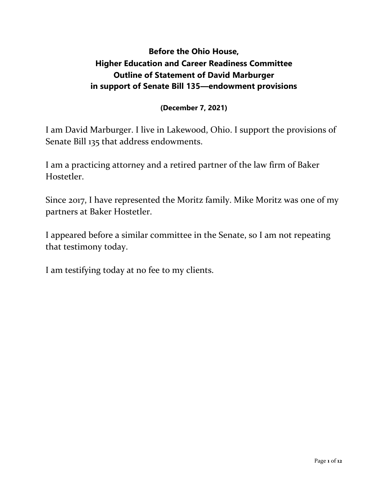# **Before the Ohio House, Higher Education and Career Readiness Committee Outline of Statement of David Marburger in support of Senate Bill 135—endowment provisions**

### **(December 7, 2021)**

I am David Marburger. I live in Lakewood, Ohio. I support the provisions of Senate Bill 135 that address endowments.

I am a practicing attorney and a retired partner of the law firm of Baker Hostetler.

Since 2017, I have represented the Moritz family. Mike Moritz was one of my partners at Baker Hostetler.

I appeared before a similar committee in the Senate, so I am not repeating that testimony today.

I am testifying today at no fee to my clients.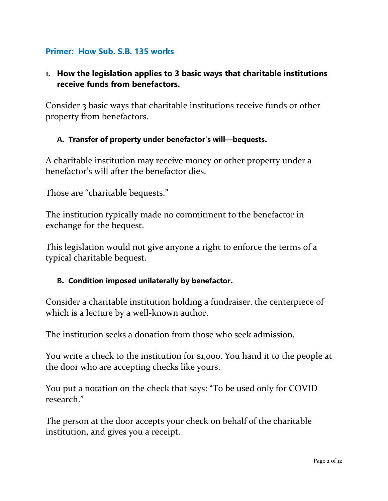### **Primer: How Sub. S.B. 135 works**

### **1. How the legislation applies to 3 basic ways that charitable institutions receive funds from benefactors.**

Consider 3 basic ways that charitable institutions receive funds or other property from benefactors.

#### **A. Transfer of property under benefactor's will—bequests.**

A charitable institution may receive money or other property under a benefactor's will after the benefactor dies.

Those are "charitable bequests."

The institution typically made no commitment to the benefactor in exchange for the bequest.

This legislation would not give anyone a right to enforce the terms of a typical charitable bequest.

#### **B. Condition imposed unilaterally by benefactor.**

Consider a charitable institution holding a fundraiser, the centerpiece of which is a lecture by a well-known author.

The institution seeks a donation from those who seek admission.

You write a check to the institution for \$1,000. You hand it to the people at the door who are accepting checks like yours.

You put a notation on the check that says: "To be used only for COVID research."

The person at the door accepts your check on behalf of the charitable institution, and gives you a receipt.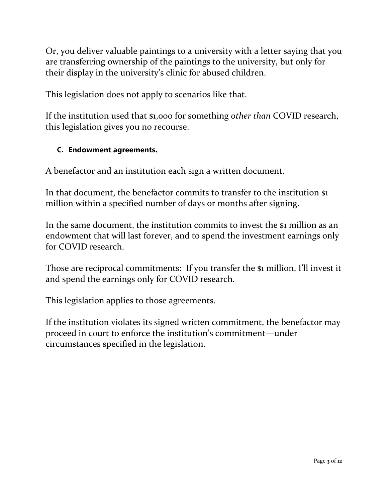Or, you deliver valuable paintings to a university with a letter saying that you are transferring ownership of the paintings to the university, but only for their display in the university's clinic for abused children.

This legislation does not apply to scenarios like that.

If the institution used that \$1,000 for something *other than* COVID research, this legislation gives you no recourse.

### **C. Endowment agreements.**

A benefactor and an institution each sign a written document.

In that document, the benefactor commits to transfer to the institution \$1 million within a specified number of days or months after signing.

In the same document, the institution commits to invest the \$1 million as an endowment that will last forever, and to spend the investment earnings only for COVID research.

Those are reciprocal commitments: If you transfer the \$1 million, I'll invest it and spend the earnings only for COVID research.

This legislation applies to those agreements.

If the institution violates its signed written commitment, the benefactor may proceed in court to enforce the institution's commitment—under circumstances specified in the legislation.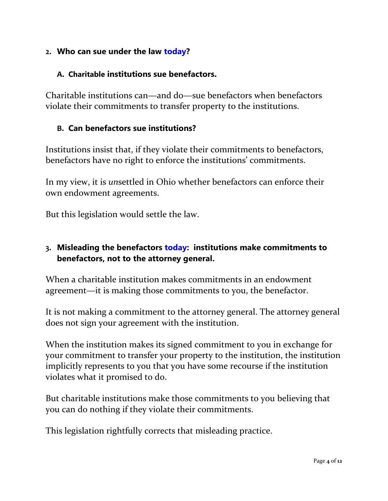### **2. Who can sue under the law today?**

#### **A. Charitable institutions sue benefactors.**

Charitable institutions can—and do—sue benefactors when benefactors violate their commitments to transfer property to the institutions.

#### **B. Can benefactors sue institutions?**

Institutions insist that, if they violate their commitments to benefactors, benefactors have no right to enforce the institutions' commitments.

In my view, it is *un*settled in Ohio whether benefactors can enforce their own endowment agreements.

But this legislation would settle the law.

### **3. Misleading the benefactors today: institutions make commitments to benefactors, not to the attorney general.**

When a charitable institution makes commitments in an endowment agreement—it is making those commitments to you, the benefactor.

It is not making a commitment to the attorney general. The attorney general does not sign your agreement with the institution.

When the institution makes its signed commitment to you in exchange for your commitment to transfer your property to the institution, the institution implicitly represents to you that you have some recourse if the institution violates what it promised to do.

But charitable institutions make those commitments to you believing that you can do nothing if they violate their commitments.

This legislation rightfully corrects that misleading practice.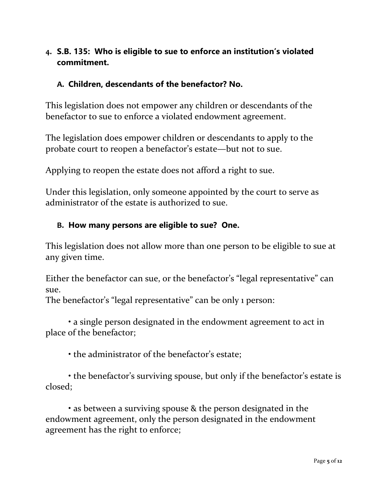## **4. S.B. 135: Who is eligible to sue to enforce an institution's violated commitment.**

### **A. Children, descendants of the benefactor? No.**

This legislation does not empower any children or descendants of the benefactor to sue to enforce a violated endowment agreement.

The legislation does empower children or descendants to apply to the probate court to reopen a benefactor's estate—but not to sue.

Applying to reopen the estate does not afford a right to sue.

Under this legislation, only someone appointed by the court to serve as administrator of the estate is authorized to sue.

#### **B. How many persons are eligible to sue? One.**

This legislation does not allow more than one person to be eligible to sue at any given time.

Either the benefactor can sue, or the benefactor's "legal representative" can sue.

The benefactor's "legal representative" can be only 1 person:

• a single person designated in the endowment agreement to act in place of the benefactor;

• the administrator of the benefactor's estate;

• the benefactor's surviving spouse, but only if the benefactor's estate is closed;

• as between a surviving spouse & the person designated in the endowment agreement, only the person designated in the endowment agreement has the right to enforce;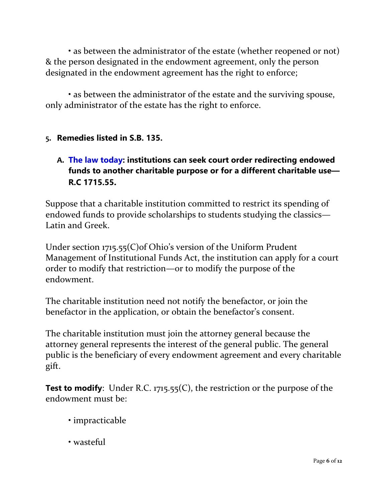• as between the administrator of the estate (whether reopened or not) & the person designated in the endowment agreement, only the person designated in the endowment agreement has the right to enforce;

• as between the administrator of the estate and the surviving spouse, only administrator of the estate has the right to enforce.

### **5. Remedies listed in S.B. 135.**

## **A. The law today: institutions can seek court order redirecting endowed funds to another charitable purpose or for a different charitable use— R.C 1715.55.**

Suppose that a charitable institution committed to restrict its spending of endowed funds to provide scholarships to students studying the classics— Latin and Greek.

Under section 1715.55(C)of Ohio's version of the Uniform Prudent Management of Institutional Funds Act, the institution can apply for a court order to modify that restriction—or to modify the purpose of the endowment.

The charitable institution need not notify the benefactor, or join the benefactor in the application, or obtain the benefactor's consent.

The charitable institution must join the attorney general because the attorney general represents the interest of the general public. The general public is the beneficiary of every endowment agreement and every charitable gift.

**Test to modify**: Under R.C. 1715.55(C), the restriction or the purpose of the endowment must be:

- impracticable
- wasteful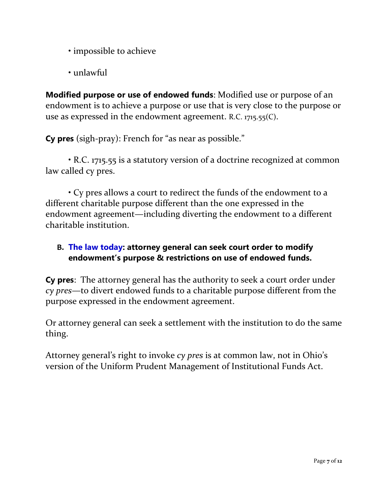- impossible to achieve
- unlawful

**Modified purpose or use of endowed funds**: Modified use or purpose of an endowment is to achieve a purpose or use that is very close to the purpose or use as expressed in the endowment agreement. R.C. 1715.55(C).

**Cy pres** (sigh-pray): French for "as near as possible."

• R.C. 1715.55 is a statutory version of a doctrine recognized at common law called cy pres.

• Cy pres allows a court to redirect the funds of the endowment to a different charitable purpose different than the one expressed in the endowment agreement—including diverting the endowment to a different charitable institution.

## **B. The law today: attorney general can seek court order to modify endowment's purpose & restrictions on use of endowed funds.**

**Cy pres**: The attorney general has the authority to seek a court order under *cy pres*—to divert endowed funds to a charitable purpose different from the purpose expressed in the endowment agreement.

Or attorney general can seek a settlement with the institution to do the same thing.

Attorney general's right to invoke *cy pres* is at common law, not in Ohio's version of the Uniform Prudent Management of Institutional Funds Act.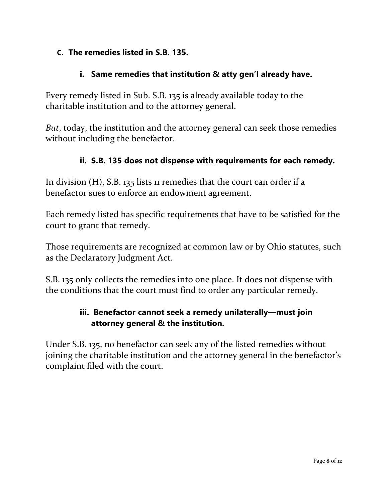### **C. The remedies listed in S.B. 135.**

### **i. Same remedies that institution & atty gen'l already have.**

Every remedy listed in Sub. S.B. 135 is already available today to the charitable institution and to the attorney general.

*But*, today, the institution and the attorney general can seek those remedies without including the benefactor.

### **ii. S.B. 135 does not dispense with requirements for each remedy.**

In division (H), S.B. 135 lists 11 remedies that the court can order if a benefactor sues to enforce an endowment agreement.

Each remedy listed has specific requirements that have to be satisfied for the court to grant that remedy.

Those requirements are recognized at common law or by Ohio statutes, such as the Declaratory Judgment Act.

S.B. 135 only collects the remedies into one place. It does not dispense with the conditions that the court must find to order any particular remedy.

## **iii. Benefactor cannot seek a remedy unilaterally—must join attorney general & the institution.**

Under S.B. 135, no benefactor can seek any of the listed remedies without joining the charitable institution and the attorney general in the benefactor's complaint filed with the court.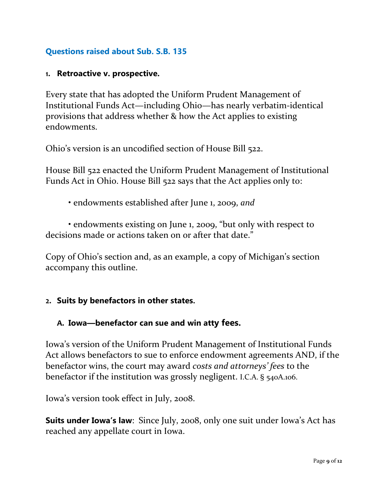## **Questions raised about Sub. S.B. 135**

#### **1. Retroactive v. prospective.**

Every state that has adopted the Uniform Prudent Management of Institutional Funds Act—including Ohio—has nearly verbatim-identical provisions that address whether & how the Act applies to existing endowments.

Ohio's version is an uncodified section of House Bill 522.

House Bill 522 enacted the Uniform Prudent Management of Institutional Funds Act in Ohio. House Bill 522 says that the Act applies only to:

• endowments established after June 1, 2009, *and*

• endowments existing on June 1, 2009, "but only with respect to decisions made or actions taken on or after that date."

Copy of Ohio's section and, as an example, a copy of Michigan's section accompany this outline.

### **2. Suits by benefactors in other states.**

### **A. Iowa—benefactor can sue and win atty fees.**

Iowa's version of the Uniform Prudent Management of Institutional Funds Act allows benefactors to sue to enforce endowment agreements AND, if the benefactor wins, the court may award *costs and attorneys' fees* to the benefactor if the institution was grossly negligent. I.C.A. § 540A.106.

Iowa's version took effect in July, 2008.

**Suits under Iowa's law**: Since July, 2008, only one suit under Iowa's Act has reached any appellate court in Iowa.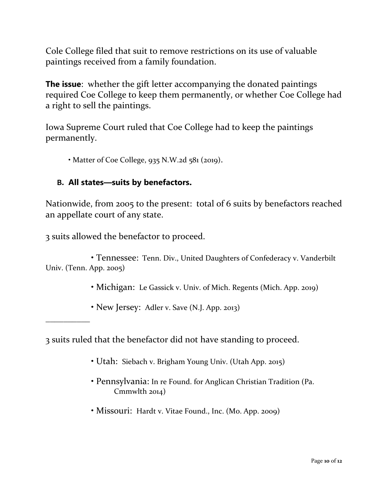Cole College filed that suit to remove restrictions on its use of valuable paintings received from a family foundation.

**The issue**: whether the gift letter accompanying the donated paintings required Coe College to keep them permanently, or whether Coe College had a right to sell the paintings.

Iowa Supreme Court ruled that Coe College had to keep the paintings permanently.

• Matter of Coe College, 935 N.W.2d 581 (2019).

### **B. All states—suits by benefactors.**

Nationwide, from 2005 to the present: total of 6 suits by benefactors reached an appellate court of any state.

3 suits allowed the benefactor to proceed.

\_\_\_\_\_\_\_\_\_\_

 • Tennessee: Tenn. Div., United Daughters of Confederacy v. Vanderbilt Univ. (Tenn. App. 2005)

- Michigan: Le Gassick v. Univ. of Mich. Regents (Mich. App. 2019)
- New Jersey: Adler v. Save (N.J. App. 2013)

3 suits ruled that the benefactor did not have standing to proceed.

- Utah: Siebach v. Brigham Young Univ. (Utah App. 2015)
- Pennsylvania: In re Found. for Anglican Christian Tradition (Pa. Cmmwlth 2014)
- Missouri: Hardt v. Vitae Found., Inc. (Mo. App. 2009)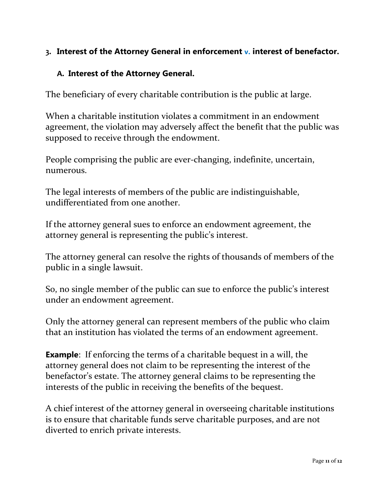## **3. Interest of the Attorney General in enforcement v. interest of benefactor.**

### **A. Interest of the Attorney General.**

The beneficiary of every charitable contribution is the public at large.

When a charitable institution violates a commitment in an endowment agreement, the violation may adversely affect the benefit that the public was supposed to receive through the endowment.

People comprising the public are ever-changing, indefinite, uncertain, numerous.

The legal interests of members of the public are indistinguishable, undifferentiated from one another.

If the attorney general sues to enforce an endowment agreement, the attorney general is representing the public's interest.

The attorney general can resolve the rights of thousands of members of the public in a single lawsuit.

So, no single member of the public can sue to enforce the public's interest under an endowment agreement.

Only the attorney general can represent members of the public who claim that an institution has violated the terms of an endowment agreement.

**Example:** If enforcing the terms of a charitable bequest in a will, the attorney general does not claim to be representing the interest of the benefactor's estate. The attorney general claims to be representing the interests of the public in receiving the benefits of the bequest.

A chief interest of the attorney general in overseeing charitable institutions is to ensure that charitable funds serve charitable purposes, and are not diverted to enrich private interests.